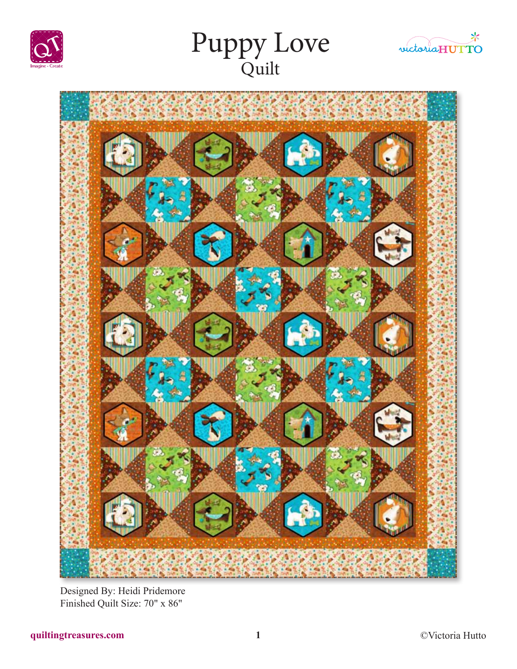







Designed By: Heidi Pridemore Finished Quilt Size: 70" x 86"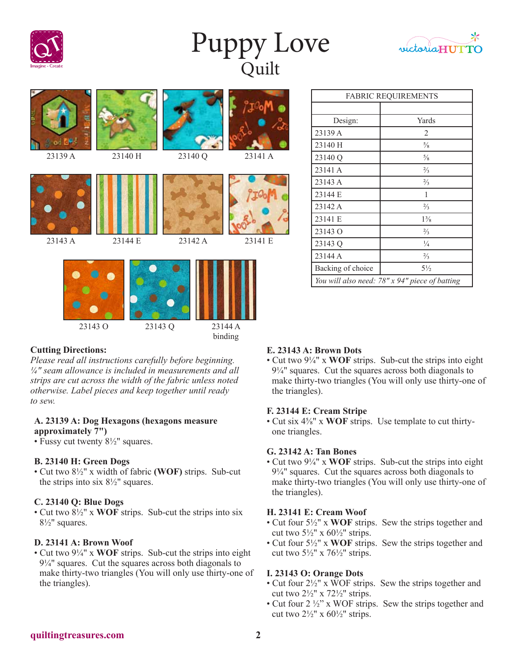

# Puppy Love Quilt





23143 O 23143 Q 23144 A

# binding

# **Cutting Directions:**

*Please read all instructions carefully before beginning. ¼" seam allowance is included in measurements and all strips are cut across the width of the fabric unless noted otherwise. Label pieces and keep together until ready to sew.*

#### **A. 23139 A: Dog Hexagons (hexagons measure approximately 7")**

• Fussy cut twenty  $8\frac{1}{2}$ " squares.

# **B. 23140 H: Green Dogs**

• Cut two 8½" x width of fabric **(WOF)** strips. Sub-cut the strips into six  $8\frac{1}{2}$ " squares.

# **C. 23140 Q: Blue Dogs**

• Cut two 8½" x **WOF** strips. Sub-cut the strips into six 8½" squares.

#### **D. 23141 A: Brown Woof**

• Cut two 9¼" x **WOF** strips. Sub-cut the strips into eight 9¼" squares. Cut the squares across both diagonals to make thirty-two triangles (You will only use thirty-one of the triangles).

| <b>FABRIC REQUIREMENTS</b>                     |                |
|------------------------------------------------|----------------|
|                                                |                |
| Design:                                        | Yards          |
| 23139 A                                        | 2              |
| 23140 H                                        | $\frac{5}{8}$  |
| 23140 Q                                        | $\frac{5}{8}$  |
| 23141 A                                        | $\frac{2}{3}$  |
| 23143 A                                        | $\frac{2}{3}$  |
| 23144 E                                        | 1              |
| 23142 A                                        | $\frac{2}{3}$  |
| 23141 E                                        | $1\frac{3}{8}$ |
| 23143 O                                        | $\frac{2}{3}$  |
| 23143 Q                                        | $\frac{1}{4}$  |
| 23144 A                                        | $\frac{2}{3}$  |
| Backing of choice                              | $5\frac{1}{2}$ |
| You will also need: 78" x 94" piece of batting |                |

# **E. 23143 A: Brown Dots**

• Cut two 9¼" x **WOF** strips. Sub-cut the strips into eight 9¼" squares. Cut the squares across both diagonals to make thirty-two triangles (You will only use thirty-one of the triangles).

#### **F. 23144 E: Cream Stripe**

• Cut six 4⅝" x **WOF** strips. Use template to cut thirtyone triangles.

#### **G. 23142 A: Tan Bones**

• Cut two 9¼" x **WOF** strips. Sub-cut the strips into eight 9¼" squares. Cut the squares across both diagonals to make thirty-two triangles (You will only use thirty-one of the triangles).

#### **H. 23141 E: Cream Woof**

- Cut four 5½" x **WOF** strips. Sew the strips together and cut two  $5\frac{1}{2}$ " x  $60\frac{1}{2}$ " strips.
- Cut four 5½" x **WOF** strips. Sew the strips together and cut two  $5\frac{1}{2}$ " x  $76\frac{1}{2}$ " strips.

### **I. 23143 O: Orange Dots**

- Cut four  $2\frac{1}{2}$ " x WOF strips. Sew the strips together and cut two  $2\frac{1}{2}$ " x  $72\frac{1}{2}$ " strips.
- Cut four 2 ½" x WOF strips. Sew the strips together and cut two  $2\frac{1}{2}$ " x  $60\frac{1}{2}$ " strips.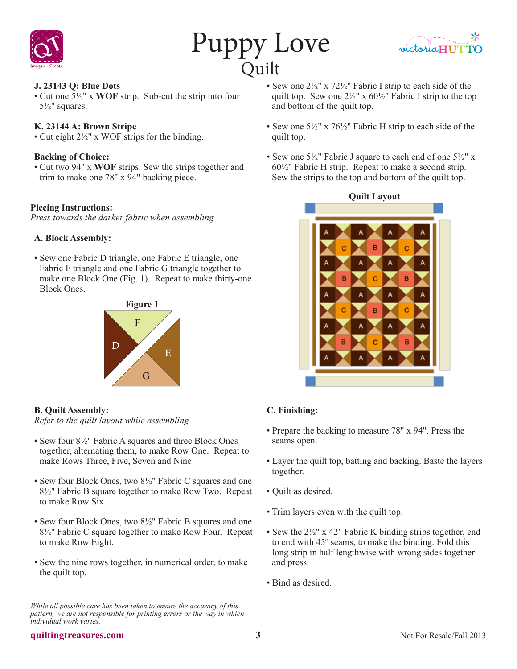





#### **J. 23143 Q: Blue Dots**

• Cut one 5½" x **WOF** strip. Sub-cut the strip into four 5½" squares.

#### **K. 23144 A: Brown Stripe**

• Cut eight 2½" x WOF strips for the binding.

#### **Backing of Choice:**

• Cut two 94" x **WOF** strips. Sew the strips together and trim to make one 78" x 94" backing piece.

#### **Piecing Instructions:**

*Press towards the darker fabric when assembling*

#### **A. Block Assembly:**

• Sew one Fabric D triangle, one Fabric E triangle, one Fabric F triangle and one Fabric G triangle together to make one Block One (Fig. 1). Repeat to make thirty-one Block Ones.



**B. Quilt Assembly:** *Refer to the quilt layout while assembling*

- Sew four 8½" Fabric A squares and three Block Ones together, alternating them, to make Row One. Repeat to make Rows Three, Five, Seven and Nine
- Sew four Block Ones, two 8<sup>1</sup>/<sub>2</sub>" Fabric C squares and one 8½" Fabric B square together to make Row Two. Repeat to make Row Six.
- Sew four Block Ones, two 8<sup>1</sup>/<sub>2</sub>" Fabric B squares and one 8½" Fabric C square together to make Row Four. Repeat to make Row Eight.
- Sew the nine rows together, in numerical order, to make the quilt top.

*While all possible care has been taken to ensure the accuracy of this pattern, we are not responsible for printing errors or the way in which individual work varies.*

- Sew one 2½" x 72½" Fabric I strip to each side of the quilt top. Sew one  $2\frac{1}{2}$ " x  $60\frac{1}{2}$ " Fabric I strip to the top and bottom of the quilt top.
- Sew one  $5\frac{1}{2}$ " x  $76\frac{1}{2}$ " Fabric H strip to each side of the quilt top.
- Sew one  $5\frac{1}{2}$ " Fabric J square to each end of one  $5\frac{1}{2}$ " x 60½" Fabric H strip. Repeat to make a second strip. Sew the strips to the top and bottom of the quilt top.



# **C. Finishing:**

- Prepare the backing to measure 78" x 94". Press the seams open.
- Layer the quilt top, batting and backing. Baste the layers together.
- Quilt as desired.
- Trim layers even with the quilt top.
- Sew the 2½" x 42" Fabric K binding strips together, end to end with 45º seams, to make the binding. Fold this long strip in half lengthwise with wrong sides together and press.
- Bind as desired.